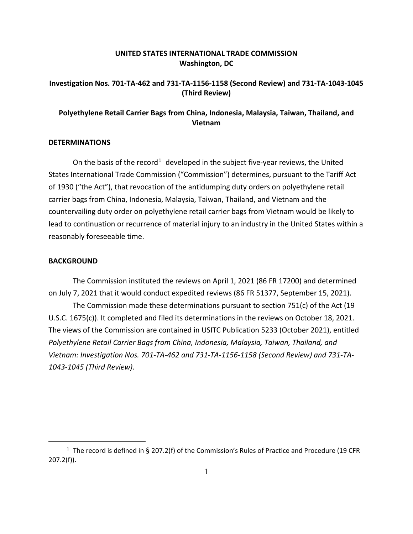## **UNITED STATES INTERNATIONAL TRADE COMMISSION Washington, DC**

## **Investigation Nos. 701-TA-462 and 731-TA-1156-1158 (Second Review) and 731-TA-1043-1045 (Third Review)**

# **Polyethylene Retail Carrier Bags from China, Indonesia, Malaysia, Taiwan, Thailand, and Vietnam**

#### **DETERMINATIONS**

On the basis of the record<sup>[1](#page-0-0)</sup> developed in the subject five-year reviews, the United States International Trade Commission ("Commission") determines, pursuant to the Tariff Act of 1930 ("the Act"), that revocation of the antidumping duty orders on polyethylene retail carrier bags from China, Indonesia, Malaysia, Taiwan, Thailand, and Vietnam and the countervailing duty order on polyethylene retail carrier bags from Vietnam would be likely to lead to continuation or recurrence of material injury to an industry in the United States within a reasonably foreseeable time.

### **BACKGROUND**

The Commission instituted the reviews on April 1, 2021 (86 FR 17200) and determined on July 7, 2021 that it would conduct expedited reviews (86 FR 51377, September 15, 2021). The Commission made these determinations pursuant to section 751(c) of the Act (19 U.S.C. 1675(c)). It completed and filed its determinations in the reviews on October 18, 2021. The views of the Commission are contained in USITC Publication 5233 (October 2021), entitled *Polyethylene Retail Carrier Bags from China, Indonesia, Malaysia, Taiwan, Thailand, and Vietnam: Investigation Nos. 701-TA-462 and 731-TA-1156-1158 (Second Review) and 731-TA-1043-1045 (Third Review)*.

<span id="page-0-0"></span><sup>&</sup>lt;sup>1</sup> The record is defined in § 207.2(f) of the Commission's Rules of Practice and Procedure (19 CFR 207.2(f)).